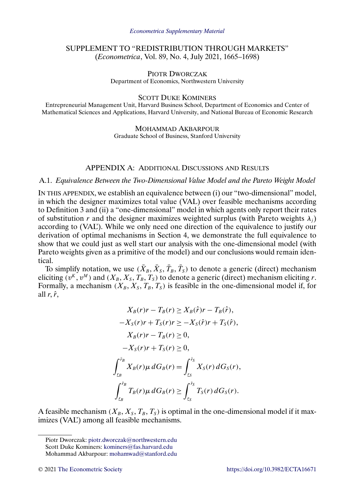# SUPPLEMENT TO "REDISTRIBUTION THROUGH MARKETS" (*Econometrica*, Vol. 89, No. 4, July 2021, 1665–1698)

PIOTR DWORCZAK Department of Economics, Northwestern University

SCOTT DUKE KOMINERS

Entrepreneurial Management Unit, Harvard Business School, Department of Economics and Center of Mathematical Sciences and Applications, Harvard University, and National Bureau of Economic Research

> MOHAMMAD AKBARPOUR Graduate School of Business, Stanford University

# APPENDIX A: ADDITIONAL DISCUSSIONS AND RESULTS

### A.1. *Equivalence Between the Two-Dimensional Value Model and the Pareto Weight Model*

IN THIS APPENDIX, we establish an equivalence between (i) our "two-dimensional" model, in which the designer maximizes total value (VAL) over feasible mechanisms according to Definition 3 and (ii) a "one-dimensional" model in which agents only report their rates of substitution r and the designer maximizes weighted surplus (with Pareto weights  $\lambda_i$ ) according to (VAL'). While we only need one direction of the equivalence to justify our derivation of optimal mechanisms in Section 4, we demonstrate the full equivalence to show that we could just as well start our analysis with the one-dimensional model (with Pareto weights given as a primitive of the model) and our conclusions would remain identical.

To simplify notation, we use  $(\bar{X}_B, \bar{X}_S, \bar{T}_B, \bar{T}_S)$  to denote a generic (direct) mechanism eliciting  $(v^K, v^M)$  and  $(X_B, X_S, T_B, T_S)$  to denote a generic (direct) mechanism eliciting r. Formally, a mechanism  $(X_B, X_S, T_B, T_S)$  is feasible in the one-dimensional model if, for all  $r, \hat{r}$ ,

$$
X_B(r)r - T_B(r) \ge X_B(\hat{r})r - T_B(\hat{r}),
$$
  
\n
$$
-X_S(r)r + T_S(r)r \ge -X_S(\hat{r})r + T_S(\hat{r}),
$$
  
\n
$$
X_B(r)r - T_B(r) \ge 0,
$$
  
\n
$$
-X_S(r)r + T_S(r) \ge 0,
$$
  
\n
$$
\int_{\mathcal{L}_B}^{\bar{r}_B} X_B(r)\mu dG_B(r) = \int_{\mathcal{L}_S}^{\bar{r}_S} X_S(r) dG_S(r),
$$
  
\n
$$
\int_{\mathcal{L}_B}^{\bar{r}_B} T_B(r)\mu dG_B(r) \ge \int_{\mathcal{L}_S}^{\bar{r}_S} T_S(r) dG_S(r).
$$

A feasible mechanism  $(X_B, X_S, T_B, T_S)$  is optimal in the one-dimensional model if it maximizes (VAL') among all feasible mechanisms.

Piotr Dworczak: [piotr.dworczak@northwestern.edu](mailto:piotr.dworczak@northwestern.edu) Scott Duke Kominers: [kominers@fas.harvard.edu](mailto:kominers@fas.harvard.edu)

Mohammad Akbarpour: [mohamwad@stanford.edu](mailto:mohamwad@stanford.edu)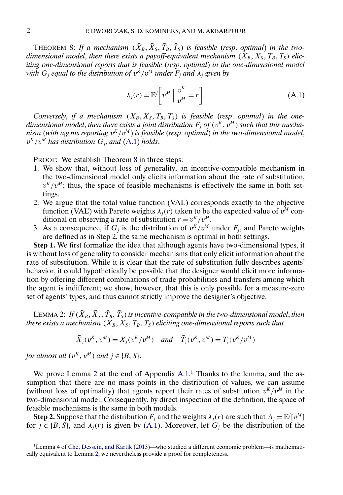<span id="page-1-0"></span>THEOREM 8: If a mechanism  $(\bar{X}_B, \bar{X}_S, \bar{T}_B, \bar{T}_S)$  is feasible (resp. optimal) in the twodimensional model, then there exists a payoff-equivalent mechanism  $(X_B, X_S, T_B, T_S)$  elic*iting one-dimensional reports that is feasible* (*resp*. *optimal*) *in the one-dimensional model with*  $G_j$  *equal to the distribution of*  $v^k/v^M$  *under*  $F_j$  *and*  $\lambda_j$  *given by* 

$$
\lambda_j(r) = \mathbb{E}^j \bigg[ v^M \bigg| \frac{v^K}{v^M} = r \bigg]. \tag{A.1}
$$

*Conversely, if a mechanism*  $(X_B, X_S, T_B, T_S)$  *is feasible (resp. optimal) in the one*dimensional model, then there exists a joint distribution  $F_i$  of  $(v^k, v^M)$  such that this mecha*nism* (with agents reporting  $v^K/v^M$ ) is feasible (resp. optimal) in the two-dimensional model,  $v^K/v^M$  has distribution  $G_i$ , and  $(A.1)$  holds.

PROOF: We establish Theorem 8 in three steps:

- 1. We show that, without loss of generality, an incentive-compatible mechanism in the two-dimensional model only elicits information about the rate of substitution,  $v^{K}/v^{M}$ ; thus, the space of feasible mechanisms is effectively the same in both settings.
- 2. We argue that the total value function (VAL) corresponds exactly to the objective function (VAL') with Pareto weights  $\lambda_i(r)$  taken to be the expected value of  $v^M$  conditional on observing a rate of substitution  $r = v^{K}/v^{M}$ .
- 3. As a consequence, if  $G_i$  is the distribution of  $v^{K}/v^{M}$  under  $F_i$ , and Pareto weights are defined as in Step 2, the same mechanism is optimal in both settings.

**Step 1.** We first formalize the idea that although agents have two-dimensional types, it is without loss of generality to consider mechanisms that only elicit information about the rate of substitution. While it is clear that the rate of substitution fully describes agents' behavior, it could hypothetically be possible that the designer would elicit more information by offering different combinations of trade probabilities and transfers among which the agent is indifferent; we show, however, that this is only possible for a measure-zero set of agents' types, and thus cannot strictly improve the designer's objective.

LEMMA 2: If  $(\bar{X}_B, \bar{X}_S, \bar{T}_B, \bar{T}_S)$  is incentive-compatible in the two-dimensional model, then *there exists a mechanism*  $(X_B, X_S, T_B, T_S)$  *eliciting one-dimensional reports such that* 

$$
\bar{X}_j(v^K, v^M) = X_j(v^K/v^M)
$$
 and  $\bar{T}_j(v^K, v^M) = T_j(v^K/v^M)$ 

*for almost all*  $(v^K, v^M)$  *and*  $j \in \{B, S\}.$ 

We prove Lemma 2 at the end of Appendix [A.1.](#page-2-0)<sup>1</sup> Thanks to the lemma, and the assumption that there are no mass points in the distribution of values, we can assume (without loss of optimality) that agents report their rates of substitution  $v^{K}/v^{M}$  in the two-dimensional model. Consequently, by direct inspection of the definition, the space of feasible mechanisms is the same in both models.

**Step 2.** Suppose that the distribution  $F_j$  and the weights  $\lambda_j(r)$  are such that  $\Lambda_j = \mathbb{E}^j[v^M]$ for  $j \in \{B, S\}$ , and  $\lambda_i(r)$  is given by (A.1). Moreover, let  $G_j$  be the distribution of the

<sup>1</sup>Lemma 4 of [Che, Dessein, and Kartik](#page-19-0) [\(2013\)](#page-19-0)—who studied a different economic problem—is mathematically equivalent to Lemma 2; we nevertheless provide a proof for completeness.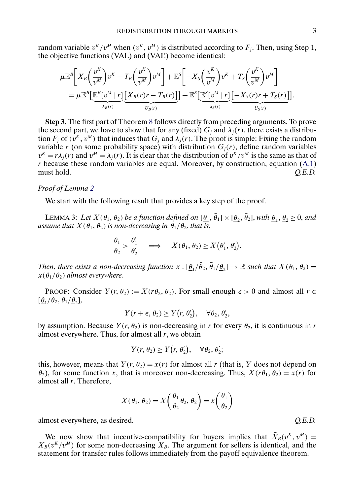<span id="page-2-0"></span>random variable  $v^K/v^M$  when  $(v^K, v^M)$  is distributed according to  $F_j$ . Then, using Step 1, the objective functions (VAL) and (VAL') become identical:

$$
\mu \mathbb{E}^{B} \bigg[ X_{B} \bigg( \frac{v^{K}}{v^{M}} \bigg) v^{K} - T_{B} \bigg( \frac{v^{K}}{v^{M}} \bigg) v^{M} \bigg] + \mathbb{E}^{S} \bigg[ -X_{S} \bigg( \frac{v^{K}}{v^{M}} \bigg) v^{K} + T_{S} \bigg( \frac{v^{K}}{v^{M}} \bigg) v^{M} \bigg]
$$
  
= 
$$
\mu \mathbb{E}^{B} \bigg[ \underbrace{\mathbb{E}^{B} [v^{M} | r]}_{\lambda_{B}(r)} \bigg[ \underbrace{X_{B}(r)r - T_{B}(r)}_{U_{B}(r)} \bigg] + \mathbb{E}^{S} \bigg[ \underbrace{\mathbb{E}^{S} [v^{M} | r]}_{\lambda_{S}(r)} \bigg[ -X_{S}(r)r + T_{S}(r) \bigg] \bigg]
$$

**Step 3.** The first part of Theorem [8](#page-1-0) follows directly from preceding arguments. To prove the second part, we have to show that for any (fixed)  $G_i$  and  $\lambda_i(r)$ , there exists a distribution  $F_j$  of  $(\hat{v}^K, v^M)$  that induces that  $G_j$  and  $\lambda_j(r)$ . The proof is simple: Fixing the random variable r (on some probability space) with distribution  $G_i(r)$ , define random variables  $v^{K} = r \lambda_{i}(r)$  and  $v^{M} = \lambda_{i}(r)$ . It is clear that the distribution of  $v^{K}/v^{M}$  is the same as that of  $r$  because these random variables are equal. Moreover, by construction, equation  $(A.1)$ must hold. *Q.E.D.*

#### *Proof of Lemma [2](#page-1-0)*

We start with the following result that provides a key step of the proof.

LEMMA 3: Let  $X(\theta_1, \theta_2)$  be a function defined on  $[\underline{\theta}_1, \overline{\theta}_1] \times [\underline{\theta}_2, \overline{\theta}_2]$ , with  $\underline{\theta}_1, \underline{\theta}_2 \geq 0$ , and *assume that*  $X(\theta_1, \theta_2)$  *is non-decreasing in*  $\theta_1/\theta_2$ *, that is,* 

$$
\frac{\theta_1}{\theta_2} > \frac{\theta'_1}{\theta'_2} \quad \Longrightarrow \quad X(\theta_1, \theta_2) \ge X(\theta'_1, \theta'_2).
$$

*Then, there exists a non-decreasing function*  $x : [\theta_1/\bar{\theta}_2, \bar{\theta}_1/\theta_2] \to \mathbb{R}$  *such that*  $X(\theta_1, \theta_2) =$  $x(\theta_1/\theta_2)$  *almost everywhere.* 

PROOF: Consider  $Y(r, \theta_2) := X(r\theta_2, \theta_2)$ . For small enough  $\epsilon > 0$  and almost all  $r \in$  $[\underline{\theta}_1/\theta_2, \theta_1/\underline{\theta}_2],$ 

$$
Y(r+\epsilon, \theta_2) \geq Y(r, \theta'_2), \quad \forall \theta_2, \theta'_2,
$$

by assumption. Because  $Y(r, \theta_2)$  is non-decreasing in r for every  $\theta_2$ , it is continuous in r almost everywhere. Thus, for almost all  $r$ , we obtain

$$
Y(r, \theta_2) \geq Y(r, \theta'_2), \quad \forall \theta_2, \theta'_2;
$$

this, however, means that  $Y(r, \theta_2) = x(r)$  for almost all r (that is, Y does not depend on  $\theta_2$ ), for some function x, that is moreover non-decreasing. Thus,  $X(r\theta_1, \theta_2) = x(r)$  for almost all r. Therefore,

$$
X(\theta_1, \theta_2) = X\left(\frac{\theta_1}{\theta_2}\theta_2, \theta_2\right) = x\left(\frac{\theta_1}{\theta_2}\right)
$$

almost everywhere, as desired. *Q.E.D.*

We now show that incentive-compatibility for buyers implies that  $\bar{X}_B(v^K, v^M) =$  $X_B(v^K/v^M)$  for some non-decreasing  $X_B$ . The argument for sellers is identical, and the statement for transfer rules follows immediately from the payoff equivalence theorem.

.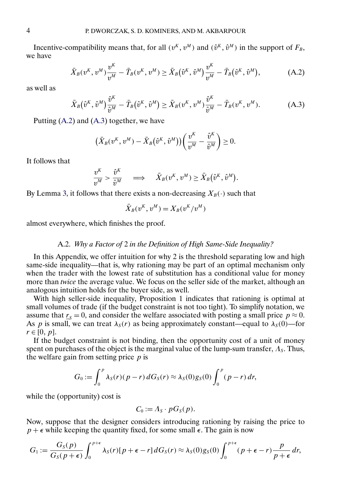Incentive-compatibility means that, for all  $(v^K, v^M)$  and  $(\hat{v}^K, \hat{v}^M)$  in the support of  $F_B$ , we have

$$
\bar{X}_B(v^K, v^M) \frac{v^K}{v^M} - \bar{T}_B(v^K, v^M) \ge \bar{X}_B(\hat{v}^K, \hat{v}^M) \frac{v^K}{v^M} - \bar{T}_B(\hat{v}^K, \hat{v}^M),
$$
\n(A.2)

as well as

$$
\bar{X}_B(\hat{v}^K, \hat{v}^M) \frac{\hat{v}^K}{\hat{v}^M} - \bar{T}_B(\hat{v}^K, \hat{v}^M) \ge \bar{X}_B(v^K, v^M) \frac{\hat{v}^K}{\hat{v}^M} - \bar{T}_B(v^K, v^M). \tag{A.3}
$$

Putting (A.2) and (A.3) together, we have

$$
(\bar{X}_B(v^K, v^M) - \bar{X}_B(\hat{v}^K, \hat{v}^M))\left(\frac{v^K}{v^M} - \frac{\hat{v}^K}{\hat{v}^M}\right) \geq 0.
$$

It follows that

$$
\frac{v^K}{v^M} > \frac{\hat{v}^K}{\hat{v}^M} \quad \implies \quad \bar{X}_B(v^K, v^M) \ge \bar{X}_B(\hat{v}^K, \hat{v}^M).
$$

By Lemma [3,](#page-2-0) it follows that there exists a non-decreasing  $X_B(\cdot)$  such that

$$
\bar{X}_B(v^K, v^M) = X_B(v^K/v^M)
$$

almost everywhere, which finishes the proof.

# A.2. *Why a Factor of* 2 *in the Definition of High Same-Side Inequality?*

In this Appendix, we offer intuition for why 2 is the threshold separating low and high same-side inequality—that is, why rationing may be part of an optimal mechanism only when the trader with the lowest rate of substitution has a conditional value for money more than *twice* the average value. We focus on the seller side of the market, although an analogous intuition holds for the buyer side, as well.

With high seller-side inequality, Proposition 1 indicates that rationing is optimal at small volumes of trade (if the budget constraint is not too tight). To simplify notation, we assume that  $r_s = 0$ , and consider the welfare associated with posting a small price  $p \approx 0$ . As p is small, we can treat  $\lambda_S(r)$  as being approximately constant—equal to  $\lambda_S(0)$ —for  $r \in [0, p]$ .

If the budget constraint is not binding, then the opportunity cost of a unit of money spent on purchases of the object is the marginal value of the lump-sum transfer,  $\Lambda_s$ . Thus, the welfare gain from setting price  $p$  is

$$
G_0 := \int_0^p \lambda_S(r)(p-r) dG_S(r) \approx \lambda_S(0) g_S(0) \int_0^p (p-r) dr,
$$

while the (opportunity) cost is

$$
C_0:=A_S\cdot pG_S(p).
$$

Now, suppose that the designer considers introducing rationing by raising the price to  $p + \epsilon$  while keeping the quantity fixed, for some small  $\epsilon$ . The gain is now

$$
G_1 := \frac{G_S(p)}{G_S(p+\epsilon)} \int_0^{p+\epsilon} \lambda_S(r)[p+\epsilon-r] \, dG_S(r) \approx \lambda_S(0) g_S(0) \int_0^{p+\epsilon} (p+\epsilon-r) \frac{p}{p+\epsilon} \, dr
$$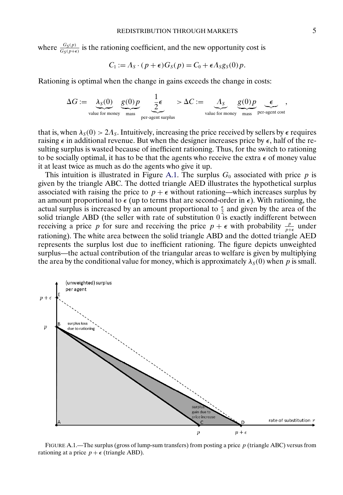where  $\frac{G_S(p)}{G_S(p+\epsilon)}$  is the rationing coefficient, and the new opportunity cost is

$$
C_1 := A_S \cdot (p + \epsilon) G_S(p) = C_0 + \epsilon A_S g_S(0) p.
$$

Rationing is optimal when the change in gains exceeds the change in costs:

$$
\Delta G := \underbrace{\lambda_S(0)}_{\text{value for money}} \underbrace{g(0)p}_{\text{mass}} \underbrace{\frac{1}{2} \epsilon}_{\text{per-agent surplus}} > \Delta C := \underbrace{\Lambda_S}_{\text{value for money}} \underbrace{g(0)p}_{\text{mass}} \underbrace{\epsilon}_{\text{per-agent cost}},
$$

that is, when  $\lambda_{\rm S}(0) > 2\Lambda_{\rm S}$ . Intuitively, increasing the price received by sellers by  $\epsilon$  requires raising  $\epsilon$  in additional revenue. But when the designer increases price by  $\epsilon$ , half of the resulting surplus is wasted because of inefficient rationing. Thus, for the switch to rationing to be socially optimal, it has to be that the agents who receive the extra  $\epsilon$  of money value it at least twice as much as do the agents who give it up.

This intuition is illustrated in Figure A.1. The surplus  $G_0$  associated with price p is given by the triangle ABC. The dotted triangle AED illustrates the hypothetical surplus associated with raising the price to  $p + \epsilon$  without rationing—which increases surplus by an amount proportional to  $\epsilon$  (up to terms that are second-order in  $\epsilon$ ). With rationing, the actual surplus is increased by an amount proportional to  $\frac{\epsilon}{2}$  and given by the area of the solid triangle ABD (the seller with rate of substitution  $0$  is exactly indifferent between receiving a price p for sure and receiving the price  $p + \epsilon$  with probability  $\frac{p}{p+\epsilon}$  under rationing). The white area between the solid triangle ABD and the dotted triangle AED represents the surplus lost due to inefficient rationing. The figure depicts unweighted surplus—the actual contribution of the triangular areas to welfare is given by multiplying the area by the conditional value for money, which is approximately  $\lambda_{\rm S}(0)$  when p is small.



FIGURE A.1.—The surplus (gross of lump-sum transfers) from posting a price  $p$  (triangle ABC) versus from rationing at a price  $p + \epsilon$  (triangle ABD).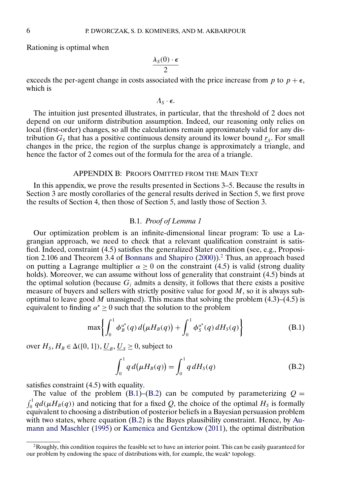<span id="page-5-0"></span>Rationing is optimal when

$$
\frac{\lambda_S(0) \cdot \epsilon}{2}
$$

exceeds the per-agent change in costs associated with the price increase from p to  $p + \epsilon$ , which is

 $\Lambda_{s} \cdot \epsilon$ .

The intuition just presented illustrates, in particular, that the threshold of 2 does not depend on our uniform distribution assumption. Indeed, our reasoning only relies on local (first-order) changes, so all the calculations remain approximately valid for any distribution  $G<sub>s</sub>$  that has a positive continuous density around its lower bound  $r<sub>s</sub>$ . For small changes in the price, the region of the surplus change is approximately a triangle, and hence the factor of 2 comes out of the formula for the area of a triangle.

# APPENDIX B: PROOFS OMITTED FROM THE MAIN TEXT

In this appendix, we prove the results presented in Sections 3–5. Because the results in Section 3 are mostly corollaries of the general results derived in Section 5, we first prove the results of Section 4, then those of Section 5, and lastly those of Section 3.

## B.1. *Proof of Lemma 1*

Our optimization problem is an infinite-dimensional linear program: To use a Lagrangian approach, we need to check that a relevant qualification constraint is satisfied. Indeed, constraint (4.5) satisfies the generalized Slater condition (see, e.g., Proposition 2.106 and Theorem 3.4 of [Bonnans and Shapiro](#page-19-0) [\(2000\)](#page-19-0)).2 Thus, an approach based on putting a Lagrange multiplier  $\alpha \geq 0$  on the constraint (4.5) is valid (strong duality holds). Moreover, we can assume without loss of generality that constraint  $(4.5)$  binds at the optimal solution (because  $G_i$  admits a density, it follows that there exists a positive measure of buyers and sellers with strictly positive value for good  $M$ , so it is always suboptimal to leave good M unassigned). This means that solving the problem  $(4.3)$ – $(4.5)$  is equivalent to finding  $\alpha^* \geq 0$  such that the solution to the problem

$$
\max \left\{ \int_0^1 \phi_B^{\alpha^*}(q) d(\mu H_B(q)) + \int_0^1 \phi_S^{\alpha^*}(q) dH_S(q) \right\}
$$
 (B.1)

over  $H_S, H_B \in \Delta([0, 1]), \underline{U}_B, \underline{U}_S \ge 0$ , subject to

$$
\int_0^1 q \, d(\mu H_B(q)) = \int_0^1 q \, dH_S(q) \tag{B.2}
$$

satisfies constraint (4.5) with equality.

The value of the problem (B.1)–(B.2) can be computed by parameterizing  $Q =$  $\int_0^1 q d(\mu H_B(q))$  and noticing that for a fixed Q, the choice of the optimal  $H_S$  is formally equivalent to choosing a distribution of posterior beliefs in a Bayesian persuasion problem with two states, where equation (B.2) is the Bayes plausibility constraint. Hence, by [Au](#page-19-0)[mann and Maschler](#page-19-0) [\(1995\)](#page-19-0) or [Kamenica and Gentzkow](#page-19-0) [\(2011\)](#page-19-0), the optimal distribution

<sup>&</sup>lt;sup>2</sup>Roughly, this condition requires the feasible set to have an interior point. This can be easily guaranteed for our problem by endowing the space of distributions with, for example, the weak\* topology.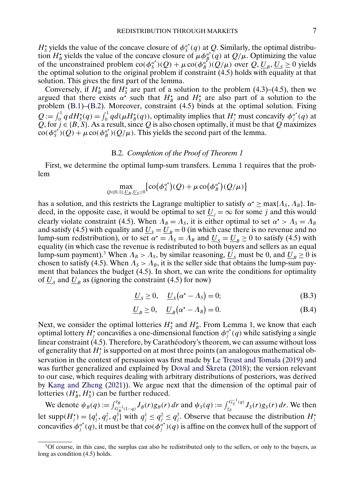<span id="page-6-0"></span> $H_s^*$  yields the value of the concave closure of  $\phi_s^{\alpha^*}(q)$  at Q. Similarly, the optimal distribution  $H^*_{\beta}$  yields the value of the concave closure of  $\mu \phi_{\beta}^{\alpha^*}(q)$  at  $Q/\mu$ . Optimizing the value of the unconstrained problem  $\cot(\phi_s^{\alpha^*})(Q) + \mu \cot(\phi_s^{\alpha^*})(Q/\mu)$  over  $Q, U_B, U_S \ge 0$  yields the optimal solution to the original problem if constraint (4.5) holds with equality at that solution. This gives the first part of the lemma.

Conversely, if  $H^*_{\beta}$  and  $H^*_{\delta}$  are part of a solution to the problem (4.3)–(4.5), then we argued that there exists  $\alpha^*$  such that  $H^*_{\beta}$  and  $H^*_{\delta}$  are also part of a solution to the problem [\(B.1\)](#page-5-0)–[\(B.2\)](#page-5-0). Moreover, constraint (4.5) binds at the optimal solution. Fixing  $Q := \int_0^1 q dH_s^*(q) = \int_0^1 q d(\mu H_B^*(q))$ , optimality implies that  $H_f^*$  must concavity  $\phi_j^{\alpha^*}(q)$  at Q, for  $j \in \{B, S\}$ . As a result, since Q is also chosen optimally, it must be that Q maximizes  $\cos(\phi_s^{\alpha^*})(Q) + \mu \cos(\phi_B^{\alpha^*})(Q/\mu)$ . This yields the second part of the lemma.

# B.2. *Completion of the Proof of Theorem 1*

First, we determine the optimal lump-sum transfers. Lemma 1 requires that the problem

$$
\max_{Q\in[0,1],U_B,U_S\geq 0}\bigl\{\operatorname{co}(\phi_S^{\alpha^\star})(Q)+\mu\operatorname{co}(\phi_B^{\alpha^\star})(Q/\mu)\bigr\}
$$

has a solution, and this restricts the Lagrange multiplier to satisfy  $\alpha^* \ge \max\{\Lambda_S, \Lambda_B\}$ . Indeed, in the opposite case, it would be optimal to set  $\underline{U}_i = \infty$  for some j and this would clearly violate constraint (4.5). When  $\Lambda_B = \Lambda_S$ , it is either optimal to set  $\alpha^* > \Lambda_S = \Lambda_B$ and satisfy (4.5) with equality and  $\underline{U}_s = \underline{U}_B = 0$  (in which case there is no revenue and no lump-sum redistribution), or to set  $\alpha^* = \Lambda_s = \Lambda_B$  and  $\underline{U}_s = \underline{U}_B \ge 0$  to satisfy (4.5) with equality (in which case the revenue is redistributed to both buyers and sellers as an equal lump-sum payment).<sup>3</sup> When  $\Lambda_B > \Lambda_s$ , by similar reasoning,  $U_s$  must be 0, and  $U_B \ge 0$  is chosen to satisfy (4.5). When  $\Lambda_s > \Lambda_b$ , it is the seller side that obtains the lump-sum payment that balances the budget (4.5). In short, we can write the conditions for optimality of  $U_s$  and  $U_B$  as (ignoring the constraint (4.5) for now)

$$
\underline{U}_s \ge 0, \quad \underline{U}_s(\alpha^* - \Lambda_s) = 0; \tag{B.3}
$$

$$
\underline{U}_B \ge 0, \quad \underline{U}_B(\alpha^* - \Lambda_B) = 0. \tag{B.4}
$$

Next, we consider the optimal lotteries  $H_s^*$  and  $H_b^*$ . From Lemma 1, we know that each optimal lottery  $H_j^*$  concavifies a one-dimensional function  $\phi_j^{\alpha^*}(q)$  while satisfying a single linear constraint (4.5). Therefore, by Carathéodory's theorem, we can assume without loss of generality that  $H_j^*$  is supported on at most three points (an analogous mathematical observation in the context of persuasion was first made by [Le Treust and Tomala](#page-19-0) [\(2019\)](#page-19-0) and was further generalized and explained by [Doval and Skreta](#page-19-0) [\(2018\)](#page-19-0); the version relevant to our case, which requires dealing with arbitrary distributions of posteriors, was derived by [Kang and Zheng](#page-19-0) [\(2021\)](#page-19-0)). We argue next that the dimension of the optimal pair of lotteries  $(H^{\star}_{B}, H^{\star}_{S})$  can be further reduced.

We denote  $\psi_B(q) := \int_{G_B^{-1}(1-q)}^{\bar{r}_B} J_B(r) g_B(r) dr$  and  $\psi_S(q) := \int_{\mathcal{L}_S}^{G_S^{-1}(q)} J_S(r) g_S(r) dr$ . We then let supp $(H_j^*) = \{q_j^1, q_j^2, q_j^3\}$  with  $q_j^1 \le q_j^2 \le q_j^3$ . Observe that because the distribution  $H_j^*$ concavifies  $\phi_j^{\alpha^*}(q)$ , it must be that  $\cot(\phi_j^{\alpha^*})(q)$  is affine on the convex hull of the support of

<sup>3</sup>Of course, in this case, the surplus can also be redistributed only to the sellers, or only to the buyers, as long as condition (4.5) holds.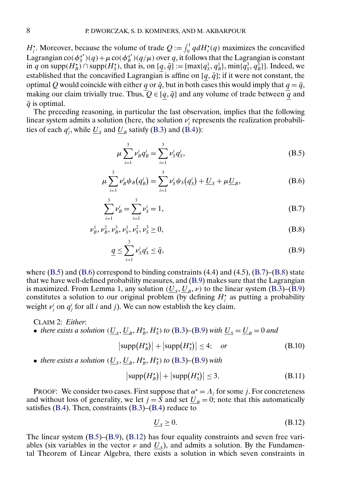<span id="page-7-0"></span> $H_j^*$ . Moreover, because the volume of trade  $Q := \int_0^1 q dH_s^*(q)$  maximizes the concavified Lagrangian  $\cot(\phi_s^{\alpha^*})(q) + \mu \cot(\phi_B^{\alpha^*})(q/\mu)$  over q, it follows that the Lagrangian is constant in q on supp $(H_B^*) \cap$  supp $(H_S^*)$ , that is, on  $[q, \bar{q}] := [\max\{q_S^1, q_B^1\}, \min\{q_S^3, q_B^3\}]$ . Indeed, we established that the concavified Lagrangian is affine on  $[q, \bar{q}]$ ; if it were not constant, the optimal Q would coincide with either q or  $\bar{q}$ , but in both cases this would imply that  $q = \bar{q}$ , making our claim trivially true. Thus,  $Q \in [q, \bar{q}]$  and any volume of trade between  $\overline{q}$  and  $\bar{q}$  is optimal.

The preceding reasoning, in particular the last observation, implies that the following linear system admits a solution (here, the solution  $\nu_j^i$  represents the realization probabilities of each  $q_j^i$ , while  $\underline{U}_S$  and  $\underline{U}_B$  satisfy [\(B.3\)](#page-6-0) and [\(B.4\)](#page-6-0)):

$$
\mu \sum_{i=1}^{3} \nu_B^i q_B^i = \sum_{i=1}^{3} \nu_S^i q_S^i,
$$
\n(B.5)

$$
\mu \sum_{i=1}^{3} \nu_B^i \psi_B(q_B^i) = \sum_{i=1}^{3} \nu_S^i \psi_S(q_S^i) + \underline{U}_S + \mu \underline{U}_B,
$$
 (B.6)

$$
\sum_{i=1}^{3} \nu_B^i = \sum_{i=1}^{3} \nu_S^i = 1,
$$
\n(B.7)

$$
\nu_B^1, \nu_B^2, \nu_B^3, \nu_S^1, \nu_S^2, \nu_S^3 \ge 0,
$$
\n(B.8)

$$
\underline{q} \le \sum_{i=1}^{3} \nu_s^i q_s^i \le \bar{q},\tag{B.9}
$$

where  $(B.5)$  and  $(B.6)$  correspond to binding constraints  $(4.4)$  and  $(4.5)$ ,  $(B.7)$ – $(B.8)$  state that we have well-defined probability measures, and (B.9) makes sure that the Lagrangian is maximized. From Lemma 1, any solution  $(\underline{U}_{\varsigma}, \underline{U}_{B}, \nu)$  to the linear system [\(B.3\)](#page-6-0)–(B.9) constitutes a solution to our original problem (by defining  $H_j^*$  as putting a probability weight  $v_j^i$  on  $q_j^i$  for all i and j). We can now establish the key claim.

CLAIM 2: *Either*:

• *there exists a solution* ( $\underline{U}_s$ ,  $\underline{U}_B$ ,  $H_s^{\star}$ ,  $H_s^{\star}$ ) *to* [\(B.3\)](#page-6-0)–(B.9) *with*  $\underline{U}_s = \underline{U}_B = 0$  *and* 

$$
|\text{supp}(H_B^*)| + |\text{supp}(H_S^*)| \le 4; \quad or \tag{B.10}
$$

• *there exists a solution*  $(\underline{U}_S, \underline{U}_B, H_B^{\star}, H_S^{\star})$  to  $(B.3)$ – $(B.9)$  *with* 

$$
|\text{supp}(H_B^*)| + |\text{supp}(H_S^*)| \le 3. \tag{B.11}
$$

PROOF: We consider two cases. First suppose that  $\alpha^* = \Lambda_j$  for some j. For concreteness and without loss of generality, we let  $j = S$  and set  $U_B = 0$ ; note that this automatically satisfies [\(B.4\)](#page-6-0). Then, constraints [\(B.3\)](#page-6-0)–[\(B.4\)](#page-6-0) reduce to

$$
\underline{U}_S \ge 0. \tag{B.12}
$$

The linear system  $(B.5)$ – $(B.9)$ ,  $(B.12)$  has four equality constraints and seven free variables (six variables in the vector  $\nu$  and  $U_s$ ), and admits a solution. By the Fundamental Theorem of Linear Algebra, there exists a solution in which seven constraints in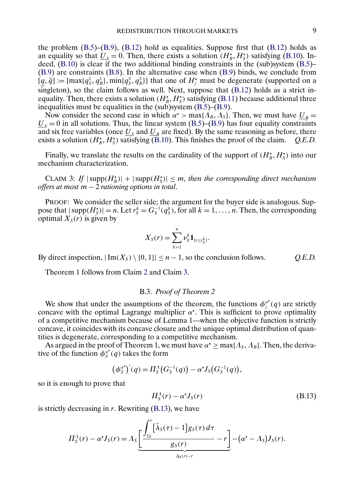the problem  $(B.5)$ – $(B.9)$ ,  $(B.12)$  hold as equalities. Suppose first that  $(B.12)$  holds as an equality so that  $\underline{U}_s = 0$ . Then, there exists a solution  $(H_b^*, H_s^*)$  satisfying [\(B.10\)](#page-7-0). Indeed,  $(B.10)$  is clear if the two additional binding constraints in the (sub)system  $(B.5)$ – [\(B.9\)](#page-7-0) are constraints [\(B.8\)](#page-7-0). In the alternative case when [\(B.9\)](#page-7-0) binds, we conclude from  $[q, \bar{q}] := [\max\{q_5^1, q_5^1\}, \min\{q_5^3, q_5^3\}]$  that one of  $H_i^*$  must be degenerate (supported on a singleton), so the claim follows as well. Next, suppose that [\(B.12\)](#page-7-0) holds as a strict inequality. Then, there exists a solution  $(H^*_B, H^*_S)$  satisfying [\(B.11\)](#page-7-0) because additional three inequalities must be equalities in the (sub)system [\(B.5\)](#page-7-0)–[\(B.9\)](#page-7-0).

Now consider the second case in which  $\alpha^*$  > max $\{\Lambda_B, \Lambda_S\}$ . Then, we must have  $\underline{U}_B$  =  $\underline{U}_{s} = 0$  in all solutions. Thus, the linear system [\(B.5\)](#page-7-0)–[\(B.9\)](#page-7-0) has four equality constraints and six free variables (once  $\overline{U}_s$  and  $\overline{U}_B$  are fixed). By the same reasoning as before, there exists a solution ( $H_s^*$ ,  $H_s^*$ ) satisfying (B.10). This finishes the proof of the claim. *O.E.D.* exists a solution  $(H^*_B, H^*_S)$  satisfying [\(B.10\)](#page-7-0). This finishes the proof of the claim. *Q.E.D.* 

Finally, we translate the results on the cardinality of the support of  $(H^*_B, H^*_S)$  into our mechanism characterization.

CLAIM 3: If  $|\text{supp}(H_{B}^{*})| + |\text{supp}(H_{S}^{*})| \leq m$ , then the corresponding direct mechanism *offers at most* m − 2 *rationing options in total*.

PROOF: We consider the seller side; the argument for the buyer side is analogous. Suppose that  $|\text{supp}(H_{S}^{*})|=n$ . Let  $r_{S}^{k}=G_{S}^{-1}(q_{S}^{k})$ , for all  $k=1,\ldots,n$ . Then, the corresponding optimal  $X_s(r)$  is given by

$$
X_{S}(r) = \sum_{k=1}^{n} \nu_{S}^{k} \mathbf{1}_{\{r \leq r_{S}^{k}\}}.
$$

By direct inspection,  $|\text{Im}(X_s) \setminus \{0, 1\}| \leq n - 1$ , so the conclusion follows. *Q.E.D.* 

Theorem 1 follows from Claim [2](#page-7-0) and Claim 3.

#### B.3. *Proof of Theorem 2*

We show that under the assumptions of the theorem, the functions  $\phi_j^{\alpha^*}(q)$  are strictly concave with the optimal Lagrange multiplier  $\alpha^*$ . This is sufficient to prove optimality of a competitive mechanism because of Lemma 1—when the objective function is strictly concave, it coincides with its concave closure and the unique optimal distribution of quantities is degenerate, corresponding to a competitive mechanism.

As argued in the proof of Theorem 1, we must have  $\alpha^* \ge \max\{\Lambda_S, \Lambda_B\}$ . Then, the derivative of the function  $\phi_S^{\alpha^*}(q)$  takes the form

$$
(\phi_S^{\alpha^*})'(q) = \Pi_S^{\Lambda}(G_S^{-1}(q)) - \alpha^* J_S(G_S^{-1}(q)),
$$

so it is enough to prove that

$$
\Pi_S^A(r) - \alpha^* J_S(r) \tag{B.13}
$$

is strictly decreasing in  $r$ . Rewriting  $(B.13)$ , we have

$$
\Pi_S^{\Lambda}(r) - \alpha^{\star} J_S(r) = \Lambda_S \underbrace{\left[ \frac{\int_{r_S}^r [\bar{\lambda}_S(\tau) - 1] g_S(\tau) d\tau}{g_S(r)} - r \right]}_{\Delta_S(r)-r} - (\alpha^{\star} - \Lambda_S) J_S(r).
$$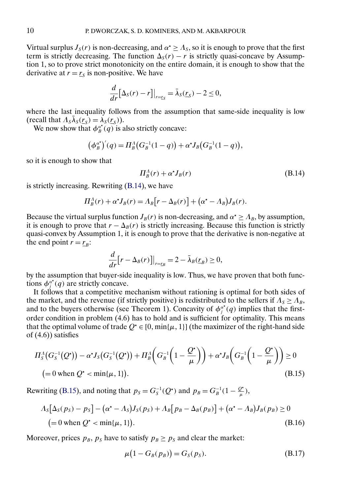<span id="page-9-0"></span>Virtual surplus  $J_s(r)$  is non-decreasing, and  $\alpha^* \geq \Lambda_s$ , so it is enough to prove that the first term is strictly decreasing. The function  $\Delta_S(r) - r$  is strictly quasi-concave by Assumption 1, so to prove strict monotonicity on the entire domain, it is enough to show that the derivative at  $r = r<sub>S</sub>$  is non-positive. We have

$$
\frac{d}{dr}[\Delta_S(r)-r]|_{r=r_S}=\bar{\lambda}_S(\underline{r}_S)-2\leq 0,
$$

where the last inequality follows from the assumption that same-side inequality is low (recall that  $\Lambda_s \overline{\lambda}_s(\overline{r_s}) = \lambda_s(\overline{r_s})$ ).

We now show that  $\phi_B^{\alpha^*}(q)$  is also strictly concave:

$$
(\phi_B^{\alpha^*})'(q) = \Pi_B^A(G_B^{-1}(1-q)) + \alpha^* J_B(G_B^{-1}(1-q)),
$$

so it is enough to show that

$$
\Pi_B^A(r) + \alpha^{\star} J_B(r) \tag{B.14}
$$

is strictly increasing. Rewriting (B.14), we have

$$
\Pi_B^{\Lambda}(r) + \alpha^{\star} J_B(r) = \Lambda_B[r - \Delta_B(r)] + (\alpha^{\star} - \Lambda_B)J_B(r).
$$

Because the virtual surplus function  $J_B(r)$  is non-decreasing, and  $\alpha^* \geq \Lambda_B$ , by assumption, it is enough to prove that  $r - \Delta_B(r)$  is strictly increasing. Because this function is strictly quasi-convex by Assumption 1, it is enough to prove that the derivative is non-negative at the end point  $r = r_B$ :

$$
\frac{d}{dr}\big[r-\Delta_B(r)\big]\big|_{r=\underline{r}_B}=2-\bar{\lambda}_B(\underline{r}_B)\geq 0,
$$

by the assumption that buyer-side inequality is low. Thus, we have proven that both functions  $\phi_j^{\alpha^*}(q)$  are strictly concave.

It follows that a competitive mechanism without rationing is optimal for both sides of the market, and the revenue (if strictly positive) is redistributed to the sellers if  $\Lambda_s \geq \Lambda_B$ , and to the buyers otherwise (see Theorem 1). Concavity of  $\phi_j^{\alpha^*}(q)$  implies that the firstorder condition in problem (4.6) has to hold and is sufficient for optimality. This means that the optimal volume of trade  $Q^* \in [0, \min\{\mu, 1\}]$  (the maximizer of the right-hand side of (4.6)) satisfies

$$
\Pi_{S}^{\Lambda}(G_{S}^{-1}(Q^{*})) - \alpha^{*}J_{S}(G_{S}^{-1}(Q^{*})) + \Pi_{B}^{\Lambda}(G_{B}^{-1}(1 - \frac{Q^{*}}{\mu})) + \alpha^{*}J_{B}(G_{B}^{-1}(1 - \frac{Q^{*}}{\mu})) \ge 0
$$
\n
$$
= 0 \text{ when } Q^{*} < \min\{\mu, 1\}). \tag{B.15}
$$

Rewriting (B.15), and noting that  $p_S = G_S^{-1}(Q^*)$  and  $p_B = G_B^{-1}(1 - \frac{Q^*}{\mu})$ ,

$$
\Lambda_S[\Delta_S(p_S) - p_S] - (\alpha^* - \Lambda_S)J_S(p_S) + \Lambda_B[p_B - \Delta_B(p_B)] + (\alpha^* - \Lambda_B)J_B(p_B) \ge 0
$$
  
(= 0 when  $Q^* < \min{\{\mu, 1\}}$ ). (B.16)

Moreover, prices  $p_B$ ,  $p_S$  have to satisfy  $p_B \geq p_S$  and clear the market:

$$
\mu(1 - G_B(p_B)) = G_S(p_S). \tag{B.17}
$$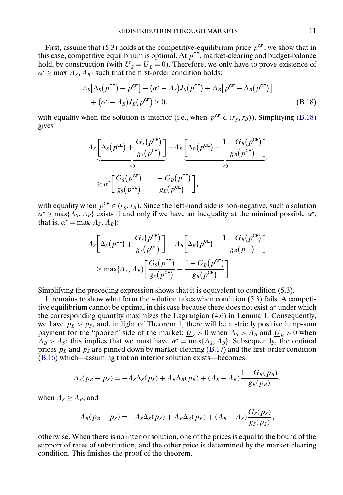First, assume that (5.3) holds at the competitive-equilibrium price  $p^{\text{CE}}$ ; we show that in this case, competitive equilibrium is optimal. At  $p^{CE}$ , market-clearing and budget-balance hold, by construction (with  $U_s = U_B = 0$ ). Therefore, we only have to prove existence of  $\alpha^* \ge \max\{\Lambda_s, \Lambda_b\}$  such that the first-order condition holds:

$$
\Lambda_S[\Delta_S(p^{\text{CE}}) - p^{\text{CE}}] - (\alpha^* - \Lambda_S)J_S(p^{\text{CE}}) + \Lambda_B[p^{\text{CE}} - \Delta_B(p^{\text{CE}})] + (\alpha^* - \Lambda_B)J_B(p^{\text{CE}}) \ge 0,
$$
\n(B.18)

with equality when the solution is interior (i.e., when  $p^{CE} \in (\underline{r_s}, \overline{r_B})$ ). Simplifying (B.18) gives

$$
\Lambda_{S} \underbrace{\left[\Delta_{S}(p^{\text{CE}}) + \frac{G_{S}(p^{\text{CE}})}{g_{S}(p^{\text{CE}})}\right]}_{\geq 0} - \Lambda_{B} \underbrace{\left[\Delta_{B}(p^{\text{CE}}) - \frac{1 - G_{B}(p^{\text{CE}})}{g_{B}(p^{\text{CE}})}\right]}_{\leq 0}
$$
\n
$$
\geq \alpha^{\star} \bigg[\frac{G_{S}(p^{\text{CE}})}{g_{S}(p^{\text{CE}})} + \frac{1 - G_{B}(p^{\text{CE}})}{g_{B}(p^{\text{CE}})}\bigg],
$$

with equality when  $p^{CE} \in (\underline{r_s}, \overline{r}_B)$ . Since the left-hand side is non-negative, such a solution  $\alpha^* \ge \max\{\Lambda_s, \Lambda_s\}$  exists if and only if we have an inequality at the minimal possible  $\alpha^*$ , that is,  $\alpha^* = \max\{\Lambda_S, \Lambda_B\}$ :

$$
\Lambda_{S} \left[ \Delta_{S}(p^{\text{CE}}) + \frac{G_{S}(p^{\text{CE}})}{g_{S}(p^{\text{CE}})} \right] - \Lambda_{B} \left[ \Delta_{B}(p^{\text{CE}}) - \frac{1 - G_{B}(p^{\text{CE}})}{g_{B}(p^{\text{CE}})} \right]
$$
  
\n
$$
\geq \max\{\Lambda_{S}, \Lambda_{B}\} \left[ \frac{G_{S}(p^{\text{CE}})}{g_{S}(p^{\text{CE}})} + \frac{1 - G_{B}(p^{\text{CE}})}{g_{B}(p^{\text{CE}})} \right].
$$

Simplifying the preceding expression shows that it is equivalent to condition (5.3).

It remains to show what form the solution takes when condition (5.3) fails. A competitive equilibrium cannot be optimal in this case because there does not exist  $\alpha^*$  under which the corresponding quantity maximizes the Lagrangian (4.6) in Lemma 1. Consequently, we have  $p_B > p_S$ , and, in light of Theorem 1, there will be a strictly positive lump-sum payment for the "poorer" side of the market:  $U_s > 0$  when  $A_s > A_B$  and  $U_B > 0$  when  $\Lambda_B > \Lambda_s$ ; this implies that we must have  $\alpha^* = \max\{\Lambda_s, \Lambda_B\}$ . Subsequently, the optimal prices  $p_B$  and  $p_S$  are pinned down by market-clearing [\(B.17\)](#page-9-0) and the first-order condition [\(B.16\)](#page-9-0) which—assuming that an interior solution exists—becomes

$$
\Lambda_S(p_B-p_S)=-\Lambda_S\Delta_S(p_S)+\Lambda_B\Delta_B(p_B)+(\Lambda_S-\Lambda_B)\frac{1-G_B(p_B)}{g_B(p_B)},
$$

when  $\Lambda_s \geq \Lambda_B$ , and

$$
\Lambda_B(p_B - p_S) = -\Lambda_S \Delta_S(p_S) + \Lambda_B \Delta_B(p_B) + (\Lambda_B - \Lambda_S) \frac{G_S(p_S)}{g_S(p_S)},
$$

otherwise. When there is no interior solution, one of the prices is equal to the bound of the support of rates of substitution, and the other price is determined by the market-clearing condition. This finishes the proof of the theorem.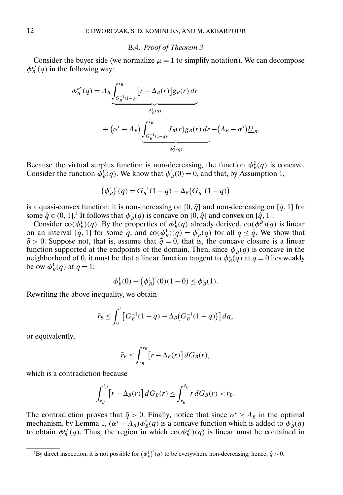#### B.4. *Proof of Theorem 3*

Consider the buyer side (we normalize  $\mu = 1$  to simplify notation). We can decompose  $\phi_B^{\alpha^*}(q)$  in the following way:

$$
\phi_B^{\alpha^*}(q) = A_B \underbrace{\int_{G_B^{-1}(1-q)}^{\bar{r}_B} [r - \Delta_B(r)] g_B(r) dr}_{\phi_B^1(q)} + (\alpha^* - \Lambda_B) \underbrace{\int_{G_B^{-1}(1-q)}^{\bar{r}_B} J_B(r) g_B(r) dr}_{\phi_B^2(q)} + (\Lambda_B - \alpha^*) \underbrace{U_B}_{\phi_B^2(q)}.
$$

Because the virtual surplus function is non-decreasing, the function  $\phi_B^2(q)$  is concave. Consider the function  $\phi_B^1(q)$ . We know that  $\phi_B^1(0) = 0$ , and that, by Assumption 1,

$$
(\phi_B^1)'(q) = G_B^{-1}(1-q) - \Delta_B(G_B^{-1}(1-q))
$$

is a quasi-convex function: it is non-increasing on [0,  $\hat{q}$ ] and non-decreasing on [ $\hat{q}$ , 1] for some  $\hat{q} \in (0, 1]^2$  It follows that  $\phi_B^1(q)$  is concave on  $[0, \hat{q}]$  and convex on  $[\hat{q}, 1]$ .

Consider  $\text{co}(\phi_B^1)(q)$ . By the properties of  $\phi_B^1(q)$  already derived,  $\text{co}(\phi_1^B)(q)$  is linear on an interval  $[\tilde{q}, 1]$  for some  $\tilde{q}$ , and  $\cot(\phi_B^1)(q) = \phi_B^1(q)$  for all  $q \leq \tilde{q}$ . We show that  $\tilde{q} > 0$ . Suppose not, that is, assume that  $\tilde{q} = 0$ , that is, the concave closure is a linear function supported at the endpoints of the domain. Then, since  $\phi_B^1(q)$  is concave in the neighborhood of 0, it must be that a linear function tangent to  $\phi_B^1(q)$  at  $q=0$  lies weakly below  $\phi_B^1(q)$  at  $q=1$ :

$$
\phi_B^1(0) + \left(\phi_B^1\right)'(0)(1-0) \le \phi_B^1(1).
$$

Rewriting the above inequality, we obtain

$$
\bar{r}_B \le \int_0^1 \left[ G_B^{-1}(1-q) - \Delta_B \big( G_B^{-1}(1-q) \big) \right] dq,
$$

or equivalently,

$$
\bar{r}_B \leq \int_{L_B}^{\bar{r}_B} \left[ r - \Delta_B(r) \right] dG_B(r),
$$

which is a contradiction because

$$
\int_{L_B}^{\bar{r}_B} \left[ r - \Delta_B(r) \right] dG_B(r) \leq \int_{L_B}^{\bar{r}_B} r \, dG_B(r) < \bar{r}_B.
$$

The contradiction proves that  $\tilde{q} > 0$ . Finally, notice that since  $\alpha^* \geq \Lambda_B$  in the optimal mechanism, by Lemma 1,  $(\alpha^* - A_B) \phi_B^2(q)$  is a concave function which is added to  $\phi_B^1(q)$ to obtain  $\phi_B^{\alpha^*}(q)$ . Thus, the region in which  $\cos(\phi_B^{\alpha^*})(q)$  is linear must be contained in

<sup>&</sup>lt;sup>4</sup>By direct inspection, it is not possible for  $(\phi_B^1)'(q)$  to be everywhere non-decreasing; hence,  $\hat{q} > 0$ .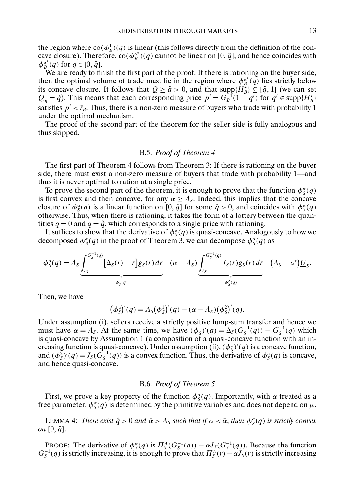<span id="page-12-0"></span>the region where  $\text{co}(\phi_B^1)(q)$  is linear (this follows directly from the definition of the concave closure). Therefore,  $\cot(\phi_B^{\alpha^*})(q)$  cannot be linear on [0,  $\tilde{q}$ ], and hence coincides with  $\phi_B^{\alpha^*}(q)$  for  $q \in [0, \tilde{q}]$ .

We are ready to finish the first part of the proof. If there is rationing on the buyer side, then the optimal volume of trade must lie in the region where  $\phi_B^{\alpha^*}(q)$  lies strictly below its concave closure. It follows that  $Q \ge \tilde{q} > 0$ , and that supp $\{H^{\star}_{B}\} \subseteq [\tilde{q}, 1]$  (we can set  $\underline{Q}_B = \tilde{q}$ ). This means that each corresponding price  $p^i = G_B^{-1}(1 - q^i)$  for  $q^i \in \text{supp}\{H_B^*\}$ satisfies  $p^i < \bar{r}_B$ . Thus, there is a non-zero measure of buyers who trade with probability 1 under the optimal mechanism.

The proof of the second part of the theorem for the seller side is fully analogous and thus skipped.

### B.5. *Proof of Theorem 4*

The first part of Theorem 4 follows from Theorem 3: If there is rationing on the buyer side, there must exist a non-zero measure of buyers that trade with probability 1—and thus it is never optimal to ration at a single price.

To prove the second part of the theorem, it is enough to prove that the function  $\phi_{\mathcal{S}}^{\alpha}(q)$ is first convex and then concave, for any  $\alpha \geq \Lambda_{\rm S}$ . Indeed, this implies that the concave closure of  $\phi_s^{\alpha}(q)$  is a linear function on [0,  $\hat{q}$ ] for some  $\hat{q} > 0$ , and coincides with  $\phi_s^{\alpha}(q)$ otherwise. Thus, when there is rationing, it takes the form of a lottery between the quantities  $q = 0$  and  $q = \hat{q}$ , which corresponds to a single price with rationing.

It suffices to show that the derivative of  $\phi_{\mathcal{S}}^{\alpha}(q)$  is quasi-concave. Analogously to how we decomposed  $\phi_{B}^{\alpha}(q)$  in the proof of Theorem 3, we can decompose  $\phi_{S}^{\alpha}(q)$  as

$$
\phi_S^{\alpha}(q) = \Lambda_S \underbrace{\int_{\mathcal{I}_S}^{G_S^{-1}(q)} \left[ \Delta_S(r) - r \right] g_S(r) \, dr}_{\phi_S^1(q)} - (\alpha - \Lambda_S) \underbrace{\int_{\mathcal{I}_S}^{G_S^{-1}(q)} J_S(r) g_S(r) \, dr}_{\phi_S^2(q)} + (\Lambda_S - \alpha^*) \underbrace{U_S}_{\mathcal{I}_S}.
$$

Then, we have

$$
(\phi_S^{\alpha})'(q) = \Lambda_S(\phi_S^1)'(q) - (\alpha - \Lambda_S)(\phi_S^2)'(q).
$$

Under assumption (i), sellers receive a strictly positive lump-sum transfer and hence we must have  $\alpha = \Lambda_s$ . At the same time, we have  $(\phi_s^1)'(q) = \Delta_s(G_s^{-1}(q)) - G_s^{-1}(q)$  which is quasi-concave by Assumption 1 (a composition of a quasi-concave function with an increasing function is quasi-concave). Under assumption (ii),  $(\phi_S^1)'(q)$  is a concave function, and  $(\phi_S^2)'(q) = J_S(\hat{G}_S^{-1}(q))$  is a convex function. Thus, the derivative of  $\phi_S^{\alpha}(q)$  is concave, and hence quasi-concave.

# B.6. *Proof of Theorem 5*

First, we prove a key property of the function  $\phi_s^{\alpha}(q)$ . Importantly, with  $\alpha$  treated as a free parameter,  $\phi^{\alpha}(q)$  is determined by the primitive variables and does not depend on  $\mu$ .

LEMMA 4: *There exist*  $\hat{q} > 0$  *and*  $\bar{\alpha} > A_s$  *such that if*  $\alpha < \bar{\alpha}$ *, then*  $\phi_s^{\alpha}(q)$  *is strictly convex on*  $[0, \hat{q}]$ .

PROOF: The derivative of  $\phi_S^{\alpha}(q)$  is  $\Pi_S^A(G_S^{-1}(q)) - \alpha J_S(G_S^{-1}(q))$ . Because the function  $G_S^{-1}(q)$  is strictly increasing, it is enough to prove that  $\Pi_S^A(r) - \alpha J_S(r)$  is strictly increasing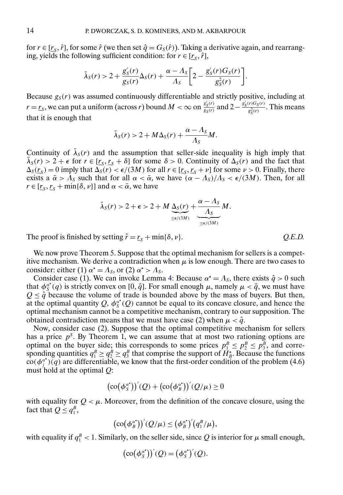for  $r \in [\underline{r_s}, \hat{r}]$ , for some  $\hat{r}$  (we then set  $\hat{q} = G_s(\hat{r})$ ). Taking a derivative again, and rearranging, yields the following sufficient condition: for  $r \in [r_{\rm s}, \hat{r}]$ ,

$$
\bar{\lambda}_S(r) > 2 + \frac{g'_S(r)}{g_S(r)} \Delta_S(r) + \frac{\alpha - \Lambda_S}{\Lambda_S} \bigg[ 2 - \frac{g'_S(r)G_S(r)}{g_S^2(r)} \bigg].
$$

Because  $g_S(r)$  was assumed continuously differentiable and strictly positive, including at  $r = r<sub>S</sub>$ , we can put a uniform (across r) bound  $M < \infty$  on  $\frac{g'_S(r)}{g_S(r)}$  and  $2 - \frac{g'_S(r)G_S(r)}{g_S^2(r)}$  $\frac{r \log(r)}{g_S^2(r)}$ . This means that it is enough that

$$
\bar{\lambda}_S(r) > 2 + M\Delta_S(r) + \frac{\alpha - \Lambda_S}{\Lambda_S}M.
$$

Continuity of  $\lambda_s(r)$  and the assumption that seller-side inequality is high imply that  $\bar{\lambda}_s(r) > 2 + \epsilon$  for  $r \in [r_s, r_s + \delta]$  for some  $\delta > 0$ . Continuity of  $\Delta_s(r)$  and the fact that  $\Delta_S(r_S) = 0$  imply that  $\Delta_S(r) < \epsilon/(3M)$  for all  $r \in [r_S, r_S + \nu]$  for some  $\nu > 0$ . Finally, there exists a  $\bar{\alpha} > \bar{\Lambda}_s$  such that for all  $\alpha < \bar{\alpha}$ , we have  $(\alpha - \Lambda_s)/\Lambda_s < \epsilon/(3M)$ . Then, for all  $r \in [r_s, r_s + \min{\{\delta, \nu\}}]$  and  $\alpha < \bar{\alpha}$ , we have

$$
\bar{\lambda}_S(r) > 2 + \epsilon > 2 + M \underbrace{\Delta_S(r)}_{\leq \epsilon/(3M)} + \underbrace{\frac{\alpha - \Lambda_S}{\Lambda_S}}_{\leq \epsilon/(3M)} M.
$$

The proof is finished by setting  $\hat{r} = r_s + \min{\{\delta, \nu\}}$ . *Q.E.D.* 

We now prove Theorem 5. Suppose that the optimal mechanism for sellers is a competitive mechanism. We derive a contradiction when  $\mu$  is low enough. There are two cases to consider: either (1)  $\alpha^* = \Lambda_s$ , or (2)  $\alpha^* > \Lambda_s$ .

Consider case (1). We can invoke Lemma [4:](#page-12-0) Because  $\alpha^* = \Lambda_s$ , there exists  $\hat{q} > 0$  such that  $\phi_S^{\alpha^*}(q)$  is strictly convex on [0,  $\hat{q}$ ]. For small enough  $\mu$ , namely  $\mu < \hat{q}$ , we must have  $Q \leq \hat{q}$  because the volume of trade is bounded above by the mass of buyers. But then, at the optimal quantity Q,  $\phi_s^{\alpha^*}(Q)$  cannot be equal to its concave closure, and hence the optimal mechanism cannot be a competitive mechanism, contrary to our supposition. The obtained contradiction means that we must have case (2) when  $\mu < \hat{q}$ .

Now, consider case (2). Suppose that the optimal competitive mechanism for sellers has a price  $p<sup>S</sup>$ . By Theorem 1, we can assume that at most two rationing options are optimal on the buyer side; this corresponds to some prices  $p_1^B \leq p_2^B \leq p_3^B$ , and corresponding quantities  $q_1^B \ge q_2^B \ge q_3^B$  that comprise the support of  $H_b^{\star}$ . Because the functions  $\cot(\phi_j^{\alpha^*})(q)$  are differentiable, we know that the first-order condition of the problem (4.6) must hold at the optimal  $Q$ :

$$
(\mathrm{co}(\phi^{\alpha^*})')'(\mathcal{Q}) + (\mathrm{co}(\phi^{\alpha^*})')'(\mathcal{Q}/\mu) \geq 0
$$

with equality for  $Q < \mu$ . Moreover, from the definition of the concave closure, using the fact that  $Q \leq q_1^B$ ,

$$
(\operatorname{co}(\phi_B^{\alpha^*}))^{'}(Q/\mu) \leq (\phi_B^{\alpha^*})^{'}(q_1^B/\mu),
$$

with equality if  $q_1^B < 1$ . Similarly, on the seller side, since  $Q$  is interior for  $\mu$  small enough,

$$
(\mathrm{co}(\phi_S^{\alpha^*}))'(Q) = (\phi_S^{\alpha^*})'(Q).
$$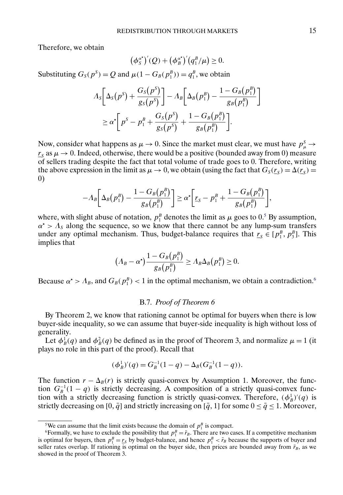Therefore, we obtain

$$
(\phi_S^{\alpha^*})^{'}(Q) + (\phi_B^{\alpha^*})^{'}(q_1^B/\mu) \geq 0.
$$

Substituting  $G_S(p^S) = Q$  and  $\mu(1 - G_B(p_1^B)) = q_1^B$ , we obtain

$$
\Lambda_S \bigg[ \Delta_S(p^S) + \frac{G_S(p^S)}{g_S(p^S)} \bigg] - \Lambda_B \bigg[ \Delta_B(p_1^B) - \frac{1 - G_B(p_1^B)}{g_B(p_1^B)} \bigg] \ge \alpha^* \bigg[ p^S - p_1^B + \frac{G_S(p^S)}{g_S(p^S)} + \frac{1 - G_B(p_1^B)}{g_B(p_1^B)} \bigg].
$$

Now, consider what happens as  $\mu \to 0$ . Since the market must clear, we must have  $p^S_{\mu} \to 0$  $r<sub>S</sub>$  as  $\mu \rightarrow 0$ . Indeed, otherwise, there would be a positive (bounded away from 0) measure of sellers trading despite the fact that total volume of trade goes to 0. Therefore, writing the above expression in the limit as  $\mu \to 0$ , we obtain (using the fact that  $G_S(r_S) = \Delta(r_S)$ ) 0)

$$
-A_B\bigg[\Delta_B(p_1^B) - \frac{1 - G_B(p_1^B)}{g_B(p_1^B)}\bigg] \ge \alpha^* \bigg[\underline{r}_S - p_1^B + \frac{1 - G_B(p_1^B)}{g_B(p_1^B)}\bigg],
$$

where, with slight abuse of notation,  $p_1^B$  denotes the limit as  $\mu$  goes to 0.<sup>5</sup> By assumption,  $\alpha^* > \Lambda_s$  along the sequence, so we know that there cannot be any lump-sum transfers under any optimal mechanism. Thus, budget-balance requires that  $r_s \in [p_1^B, p_3^B]$ . This implies that

$$
(A_B-\alpha^\star)\frac{1-G_B(p_1^B)}{g_B(p_1^B)}\geq A_B\Delta_B(p_1^B)\geq 0.
$$

Because  $\alpha^* > \Lambda_B$ , and  $G_B(p_1^B) < 1$  in the optimal mechanism, we obtain a contradiction.<sup>6</sup>

# B.7. *Proof of Theorem 6*

By Theorem 2, we know that rationing cannot be optimal for buyers when there is low buyer-side inequality, so we can assume that buyer-side inequality is high without loss of generality.

Let  $\phi_B^1(q)$  and  $\phi_B^2(q)$  be defined as in the proof of Theorem 3, and normalize  $\mu = 1$  (it plays no role in this part of the proof). Recall that

$$
(\phi_B^1)'(q) = G_B^{-1}(1-q) - \Delta_B(G_B^{-1}(1-q)).
$$

The function  $r - \Delta_B(r)$  is strictly quasi-convex by Assumption 1. Moreover, the function  $G_B^{-1}(1-q)$  is strictly decreasing. A composition of a strictly quasi-convex function with a strictly decreasing function is strictly quasi-convex. Therefore,  $(\phi_B^1)'(q)$  is strictly decreasing on [0,  $\bar{q}$ ] and strictly increasing on [ $\bar{q}$ , 1] for some  $0 \leq \bar{q} \leq 1$ . Moreover,

<sup>&</sup>lt;sup>5</sup>We can assume that the limit exists because the domain of  $p_1^B$  is compact.

<sup>&</sup>lt;sup>5</sup>We can assume that the limit exists because the domain of  $p_1^{\mu}$  is compact.<br><sup>6</sup>Formally, we have to exclude the possibility that  $p_1^{\mu} = \bar{r}_B$ . There are two cases. If a competitive mechanism is optimal for buyers, then  $p_1^B = r_S$  by budget-balance, and hence  $p_1^B < \bar{r}_B$  because the supports of buyer and seller rates overlap. If rationing is optimal on the buyer side, then prices are bounded away from  $\bar{r}_B$ , as we showed in the proof of Theorem 3.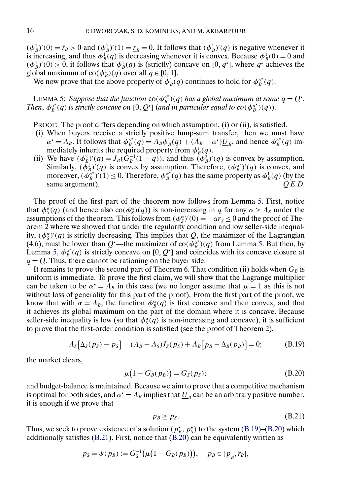<span id="page-15-0"></span> $(\phi_B^1)'(0) = \bar{r}_B > 0$  and  $(\phi_B^1)'(1) = \underline{r}_B = 0$ . It follows that  $(\phi_B^1)'(q)$  is negative whenever it is increasing, and thus  $\phi_B^1(q)$  is decreasing whenever it is convex. Because  $\phi_B^1(0) = 0$  and  $(\phi_B^1)'(0) > 0$ , it follows that  $\phi_B^1(q)$  is (strictly) concave on [0, q<sup>+</sup>], where q<sup>+</sup> achieves the global maximum of  $\text{co}(\phi_B^1)(q)$  over all  $q \in [0, 1]$ .

We now prove that the above property of  $\phi_B^1(q)$  continues to hold for  $\phi_B^{\alpha^*}(q)$ .

LEMMA 5: Suppose that the function  $\cos(\phi_B^{\alpha^*})(q)$  has a global maximum at some  $q = Q^*$ . Then,  $\phi_B^{\alpha^*}(q)$  is strictly concave on  $[0, Q^*]$  (and in particular equal to  $co(\phi_B^{\alpha^*})(q)$ ).

PROOF: The proof differs depending on which assumption, (i) or (ii), is satisfied.

- (i) When buyers receive a strictly positive lump-sum transfer, then we must have  $\alpha^* = \Lambda_B$ . It follows that  $\phi_B^{\alpha^*}(q) = \Lambda_B \phi_B^1(q) + (\Lambda_B - \alpha^*) \underline{U}_B$ , and hence  $\phi_B^{\alpha^*}(q)$  immediately inherits the required property from  $\phi_B^1(q)$ .
- (ii) We have  $(\phi_B^2)'(q) = J_B(\hat{G}_B^{-1}(1-q))$ , and thus  $(\phi_B^2)'(q)$  is convex by assumption. Similarly,  $(\vec{\phi}_B^1)'(q)$  is convex by assumption. Therefore,  $(\phi_B^{\alpha^*})'(q)$  is convex, and moreover,  $(\phi_B^{\alpha^*})'(1) \le 0$ . Therefore,  $\phi_B^{\alpha^*}(q)$  has the same property as  $\phi_B^1(q)$  (by the same argument).  $Q.E.D.$

The proof of the first part of the theorem now follows from Lemma 5. First, notice that  $\phi_S^{\alpha}(q)$  (and hence also  $\text{co}(\phi_S^{\alpha})(q)$ ) is non-increasing in q for any  $\alpha \geq \Lambda_S$  under the assumptions of the theorem. This follows from  $(\phi_S^{\alpha})'(0) = -\alpha r_S \le 0$  and the proof of Theorem 2 where we showed that under the regularity condition and low seller-side inequality,  $(\phi_S^{\alpha})'(q)$  is strictly decreasing. This implies that Q, the maximizer of the Lagrangian (4.6), must be lower than Q<sup>\*</sup>—the maximizer of co( $\phi_B^{\alpha^*}$ )(q) from Lemma 5. But then, by Lemma 5,  $\phi_B^{\alpha^*}(q)$  is strictly concave on [0, Q<sup>\*</sup>] and coincides with its concave closure at  $q = Q$ . Thus, there cannot be rationing on the buyer side.

It remains to prove the second part of Theorem 6. That condition (ii) holds when  $G_B$  is uniform is immediate. To prove the first claim, we will show that the Lagrange multiplier can be taken to be  $\alpha^* = \Lambda_B$  in this case (we no longer assume that  $\mu = 1$  as this is not without loss of generality for this part of the proof). From the first part of the proof, we know that with  $\alpha = \Lambda_B$ , the function  $\phi_B^{\alpha}(q)$  is first concave and then convex, and that it achieves its global maximum on the part of the domain where it is concave. Because seller-side inequality is low (so that  $\phi^{\alpha}(q)$  is non-increasing and concave), it is sufficient to prove that the first-order condition is satisfied (see the proof of Theorem 2),

$$
A_{S}[\Delta_{S}(p_{S}) - p_{S}] - (A_{B} - A_{S})J_{S}(p_{S}) + A_{B}[p_{B} - \Delta_{B}(p_{B})] = 0; \qquad (B.19)
$$

the market clears,

$$
\mu(1 - G_B(p_B)) = G_S(p_S); \tag{B.20}
$$

and budget-balance is maintained. Because we aim to prove that a competitive mechanism is optimal for both sides, and  $\alpha^* = \Lambda_B$  implies that  $\underline{U}_B$  can be an arbitrary positive number, it is enough if we prove that

$$
p_B \ge p_S. \tag{B.21}
$$

Thus, we seek to prove existence of a solution ( $p_s^*, p_s^*$ ) to the system (B.19)–(B.20) which additionally satisfies (B.21). First, notice that (B.20) can be equivalently written as

$$
p_S = \psi(p_B) := G_S^{-1}(\mu(1 - G_B(p_B))), \quad p_B \in [\underline{p}_B, \overline{r}_B],
$$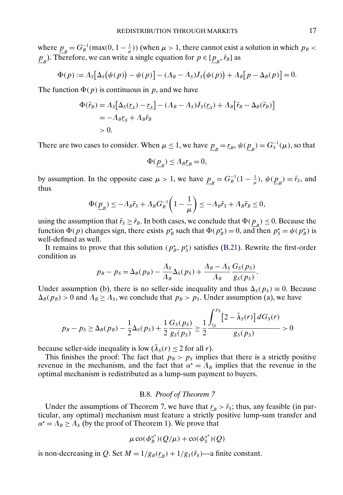where  $\underline{p}_B = G_B^{-1}(\max(0, 1 - \frac{1}{\mu}))$  (when  $\mu > 1$ , there cannot exist a solution in which  $p_B <$  $\underline{p}_B$ ). Therefore, we can write a single equation for  $p \in [\underline{p}_B, \overline{r}_B]$  as

$$
\Phi(p) := \Lambda_S \big[ \Delta_S(\psi(p)) - \psi(p) \big] - (\Lambda_B - \Lambda_S) J_S(\psi(p)) + \Lambda_B \big[ p - \Delta_B(p) \big] = 0.
$$

The function  $\Phi(p)$  is continuous in p, and we have

$$
\Phi(\bar{r}_B) = \Lambda_S [\Delta_S(\underline{r}_S) - \underline{r}_S] - (\Lambda_B - \Lambda_S) J_S(\underline{r}_S) + \Lambda_B [\bar{r}_B - \Delta_B(\bar{r}_B)]
$$
  
=  $-\Lambda_B \underline{r}_S + \Lambda_B \bar{r}_B$   
> 0.

There are two cases to consider. When  $\mu \le 1$ , we have  $\underline{p}_B = \underline{r}_B$ ,  $\psi(\underline{p}_B) = G_S^{-1}(\mu)$ , so that

$$
\Phi(\underline{p}_B) \le A_B \underline{r}_B = 0,
$$

by assumption. In the opposite case  $\mu > 1$ , we have  $\underline{p}_B = G_B^{-1}(1 - \frac{1}{\mu})$ ,  $\psi(\underline{p}_B) = \overline{r}_S$ , and thus

$$
\Phi(\underline{p}_B) \le -A_B \bar{r}_S + A_B G_B^{-1} \left( 1 - \frac{1}{\mu} \right) \le -A_B \bar{r}_S + A_B \bar{r}_B \le 0,
$$

using the assumption that  $\bar{r}_S \ge \bar{r}_B$ . In both cases, we conclude that  $\Phi(\underline{p}_B) \le 0$ . Because the function  $\Phi(p)$  changes sign, there exists  $p_B^*$  such that  $\Phi(p_B^*) = 0$ , and then  $p_S^* = \psi(p_B^*)$  is well-defined as well.

It remains to prove that this solution ( $p_B^*$ ,  $p_S^*$ ) satisfies [\(B.21\)](#page-15-0). Rewrite the first-order condition as

$$
p_B - p_S = \Delta_B(p_B) - \frac{\Lambda_S}{\Lambda_B} \Delta_S(p_S) + \frac{\Lambda_B - \Lambda_S}{\Lambda_B} \frac{G_S(p_S)}{g_S(p_S)}.
$$

Under assumption (b), there is no seller-side inequality and thus  $\Delta_S(p_S) \equiv 0$ . Because  $\Delta_B(p_B) > 0$  and  $\Lambda_B \ge \Lambda_S$ , we conclude that  $p_B > p_S$ . Under assumption (a), we have

$$
p_B - p_S \ge \Delta_B(p_B) - \frac{1}{2}\Delta_S(p_S) + \frac{1}{2}\frac{G_S(p_S)}{g_S(p_S)} \ge \frac{1}{2}\frac{\int_{r_S}^{p_S} [2 - \bar{\lambda}_S(r)] dG_S(r)}{g_S(p_S)} > 0
$$

because seller-side inequality is low  $(\overline{\lambda}_s(r) \le 2$  for all r).

This finishes the proof: The fact that  $p_B > p_S$  implies that there is a strictly positive revenue in the mechanism, and the fact that  $\alpha^* = \Lambda_B$  implies that the revenue in the optimal mechanism is redistributed as a lump-sum payment to buyers.

## B.8. *Proof of Theorem 7*

Under the assumptions of Theorem 7, we have that  $r_B > \bar{r}_S$ ; thus, any feasible (in particular, any optimal) mechanism must feature a strictly positive lump-sum transfer and  $\alpha^* = \Lambda_B \ge \Lambda_S$  (by the proof of Theorem 1). We prove that

$$
\mu\operatorname{co}(\phi^{\alpha^*}_B)(Q/\mu)+\operatorname{co}(\phi^{\alpha^*}_S)(Q)
$$

is non-decreasing in Q. Set  $M = 1/g_B(r_B) + 1/g_S(\bar{r}_S)$ —a finite constant.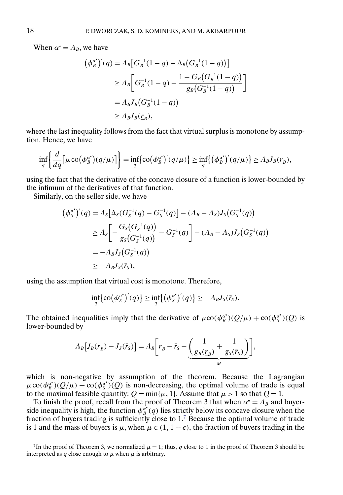When  $\alpha^* = \Lambda_B$ , we have

$$
(\phi_B^{\alpha^*})'(q) = \Lambda_B \big[ G_B^{-1}(1-q) - \Delta_B \big( G_B^{-1}(1-q) \big) \big]
$$
  
\n
$$
\geq \Lambda_B \bigg[ G_B^{-1}(1-q) - \frac{1 - G_B \big( G_B^{-1}(1-q) \big)}{g_B \big( G_B^{-1}(1-q) \big)} \bigg]
$$
  
\n
$$
= \Lambda_B J_B \big( G_B^{-1}(1-q) \big)
$$
  
\n
$$
\geq \Lambda_B J_B \big( r_B \big),
$$

where the last inequality follows from the fact that virtual surplus is monotone by assumption. Hence, we have

$$
\inf_{q} \left\{ \frac{d}{dq} \left[ \mu \operatorname{co}(\phi_B^{\alpha^*})(q/\mu) \right] \right\} = \inf_{q} \left\{ \operatorname{co}(\phi_B^{\alpha^*})'(q/\mu) \right\} \geq \inf_{q} \left\{ \left( \phi_B^{\alpha^*}\right)'(q/\mu) \right\} \geq \Lambda_B J_B(\underline{r}_B),
$$

using the fact that the derivative of the concave closure of a function is lower-bounded by the infimum of the derivatives of that function.

Similarly, on the seller side, we have

$$
(\phi_s^{\alpha^*})'(q) = \Lambda_s[\Delta_s(G_s^{-1}(q) - G_s^{-1}(q)] - (\Lambda_B - \Lambda_s)J_s(G_s^{-1}(q))
$$
  
\n
$$
\geq \Lambda_s \left[ -\frac{G_s(G_s^{-1}(q))}{g_s(G_s^{-1}(q))} - G_s^{-1}(q) \right] - (\Lambda_B - \Lambda_s)J_s(G_s^{-1}(q))
$$
  
\n
$$
= -\Lambda_B J_s(G_s^{-1}(q))
$$
  
\n
$$
\geq -\Lambda_B J_s(\bar{r}_s),
$$

using the assumption that virtual cost is monotone. Therefore,

$$
\inf_{q} \{ \operatorname{co}(\phi^{\alpha^*})'(q) \} \ge \inf_{q} \{ (\phi^{\alpha^*})'(q) \} \ge -\Lambda_B J_S(\bar{r}_S).
$$

The obtained inequalities imply that the derivative of  $\mu co(\phi_B^{\alpha^*})(Q/\mu) + co(\phi_S^{\alpha^*})(Q)$  is lower-bounded by

$$
\Lambda_B\big[J_B(\underline{r}_B) - J_S(\bar{r}_S)\big] = \Lambda_B\bigg[\underline{r}_B - \bar{r}_S - \underbrace{\bigg(\frac{1}{g_B(\underline{r}_B)} + \frac{1}{g_S(\bar{r}_S)}\bigg)}_M\bigg],
$$

which is non-negative by assumption of the theorem. Because the Lagrangian  $\mu$  co( $\phi_B^{\alpha^*}$ )( $Q/\mu$ ) + co( $\phi_S^{\alpha^*}$ )( $Q$ ) is non-decreasing, the optimal volume of trade is equal to the maximal feasible quantity:  $Q = min{\mu, 1}$ . Assume that  $\mu > 1$  so that  $Q = 1$ .

To finish the proof, recall from the proof of Theorem 3 that when  $\alpha^* = \Lambda_B$  and buyerside inequality is high, the function  $\phi_B^{\alpha^*}(q)$  lies strictly below its concave closure when the fraction of buyers trading is sufficiently close to 1.7 Because the optimal volume of trade is 1 and the mass of buyers is  $\mu$ , when  $\mu \in (1, 1 + \epsilon)$ , the fraction of buyers trading in the

<sup>&</sup>lt;sup>7</sup>In the proof of Theorem 3, we normalized  $\mu = 1$ ; thus, q close to 1 in the proof of Theorem 3 should be interpreted as q close enough to  $\mu$  when  $\mu$  is arbitrary.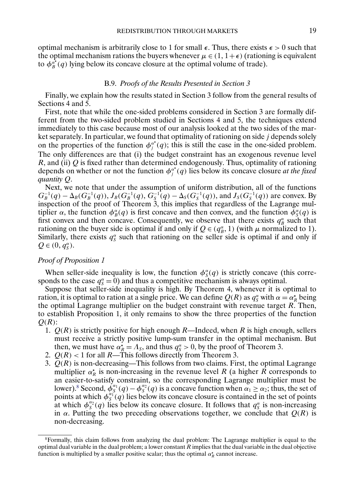optimal mechanism is arbitrarily close to 1 for small  $\epsilon$ . Thus, there exists  $\epsilon > 0$  such that the optimal mechanism rations the buyers whenever  $\mu \in (1, 1+\epsilon)$  (rationing is equivalent to  $\phi_B^{\alpha^*}(q)$  lying below its concave closure at the optimal volume of trade).

## B.9. *Proofs of the Results Presented in Section 3*

Finally, we explain how the results stated in Section 3 follow from the general results of Sections 4 and 5.

First, note that while the one-sided problems considered in Section 3 are formally different from the two-sided problem studied in Sections 4 and 5, the techniques extend immediately to this case because most of our analysis looked at the two sides of the market separately. In particular, we found that optimality of rationing on side  $j$  depends solely on the properties of the function  $\phi_j^{\alpha^*}(q)$ ; this is still the case in the one-sided problem. The only differences are that (i) the budget constraint has an exogenous revenue level  $R$ , and (ii)  $Q$  is fixed rather than determined endogenously. Thus, optimality of rationing depends on whether or not the function  $\phi_j^{\alpha^*}(q)$  lies below its concave closure *at the fixed quantity* Q.

Next, we note that under the assumption of uniform distribution, all of the functions  $G_B^{-1}(q) - \Delta_B(G_B^{-1}(q)), J_B(G_B^{-1}(q), G_S^{-1}(q) - \Delta_S(G_S^{-1}(q)), \text{ and } J_S(G_S^{-1}(q))$  are convex. By inspection of the proof of Theorem 3, this implies that regardless of the Lagrange multiplier  $\alpha$ , the function  $\phi_{B}^{\alpha}(q)$  is first concave and then convex, and the function  $\phi_{S}^{\alpha}(q)$  is first convex and then concave. Consequently, we observe that there exists  $q_B^{\alpha}$  such that rationing on the buyer side is optimal if and only if  $Q \in (q_B^{\alpha}, 1)$  (with  $\mu$  normalized to 1). Similarly, there exists  $q_s^{\alpha}$  such that rationing on the seller side is optimal if and only if  $Q \in (0, q_S^{\alpha}).$ 

# *Proof of Proposition 1*

When seller-side inequality is low, the function  $\phi_s^{\alpha}(q)$  is strictly concave (this corresponds to the case  $q_s^{\alpha} = 0$ ) and thus a competitive mechanism is always optimal.

Suppose that seller-side inequality is high. By Theorem 4, whenever it is optimal to ration, it is optimal to ration at a single price. We can define  $Q(R)$  as  $q_S^{\alpha}$  with  $\alpha = \alpha_R^*$  being the optimal Lagrange multiplier on the budget constraint with revenue target  $R$ . Then, to establish Proposition 1, it only remains to show the three properties of the function  $Q(R)$ :

- 1.  $Q(R)$  is strictly positive for high enough R—Indeed, when R is high enough, sellers must receive a strictly positive lump-sum transfer in the optimal mechanism. But then, we must have  $\alpha_R^* = \Lambda_s$ , and thus  $q_S^{\alpha} > 0$ , by the proof of Theorem 3.
- 2.  $Q(R)$  < 1 for all R—This follows directly from Theorem 3.
- 3.  $Q(R)$  is non-decreasing—This follows from two claims. First, the optimal Lagrange multiplier  $\alpha_R^*$  is non-increasing in the revenue level R (a higher R corresponds to an easier-to-satisfy constraint, so the corresponding Lagrange multiplier must be lower).<sup>8</sup> Second,  $\dot{\phi}_S^{\alpha_1}(q) - \phi_S^{\alpha_2}(q)$  is a concave function when  $\alpha_1 \ge \alpha_2$ ; thus, the set of points at which  $\phi_5^{\alpha_1}(q)$  lies below its concave closure is contained in the set of points at which  $\phi_S^{\alpha_2}(q)$  lies below its concave closure. It follows that  $q_S^{\alpha}$  is non-increasing in  $\alpha$ . Putting the two preceding observations together, we conclude that  $Q(R)$  is non-decreasing.

<sup>8</sup>Formally, this claim follows from analyzing the dual problem: The Lagrange multiplier is equal to the optimal dual variable in the dual problem; a lower constant  $R$  implies that the dual variable in the dual objective function is multiplied by a smaller positive scalar; thus the optimal  $\alpha_R^*$  cannot increase.